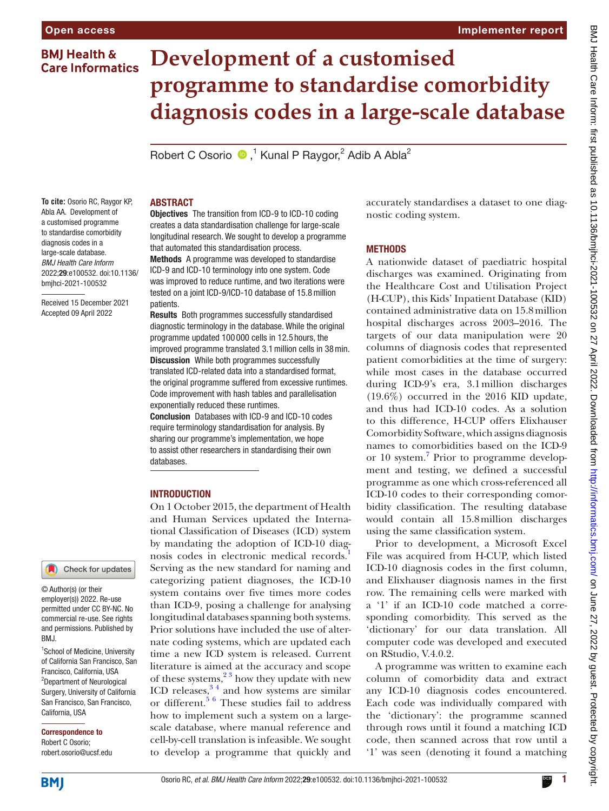# **BMJ Health & Care Informatics**

# **Development of a customised programme to standardise comorbidity diagnosis codes in a large-scale database**

Robert C Osorio  $\bullet$ ,<sup>1</sup> Kunal P Raygor,<sup>2</sup> Adib A Abla<sup>2</sup>

**To cite:** Osorio RC, Raygor KP, Abla AA. Development of a customised programme to standardise comorbidity diagnosis codes in a large-scale database. *BMJ Health Care Inform* 2022;29:e100532. doi:10.1136/ bmjhci-2021-100532

Received 15 December 2021 Accepted 09 April 2022

### Check for updates

© Author(s) (or their employer(s)) 2022. Re-use permitted under CC BY-NC. No commercial re-use. See rights and permissions. Published by RM<sub>J</sub>

<sup>1</sup>School of Medicine, University of California San Francisco, San Francisco, California, USA 2 Department of Neurological Surgery, University of California San Francisco, San Francisco, California, USA

Correspondence to Robert C Osorio; robert.osorio@ucsf.edu

# ABSTRACT

Objectives The transition from ICD-9 to ICD-10 coding creates a data standardisation challenge for large-scale longitudinal research. We sought to develop a programme that automated this standardisation process.

Methods A programme was developed to standardise ICD-9 and ICD-10 terminology into one system. Code was improved to reduce runtime, and two iterations were tested on a joint ICD-9/ICD-10 database of 15.8million patients.

Results Both programmes successfully standardised diagnostic terminology in the database. While the original programme updated 100 000 cells in 12.5 hours, the improved programme translated 3.1million cells in 38min. Discussion While both programmes successfully translated ICD-related data into a standardised format, the original programme suffered from excessive runtimes. Code improvement with hash tables and parallelisation exponentially reduced these runtimes.

Conclusion Databases with ICD-9 and ICD-10 codes require terminology standardisation for analysis. By sharing our programme's implementation, we hope to assist other researchers in standardising their own databases.

# INTRODUCTION

On 1 October 2015, the department of Health and Human Services updated the International Classification of Diseases (ICD) system by mandating the adoption of ICD-10 diag-nosis codes in electronic medical records.<sup>[1](#page-2-0)</sup> Serving as the new standard for naming and categorizing patient diagnoses, the ICD-10 system contains over five times more codes than ICD-9, posing a challenge for analysing longitudinal databases spanning both systems. Prior solutions have included the use of alternate coding systems, which are updated each time a new ICD system is released. Current literature is aimed at the accuracy and scope of these systems, $2<sup>3</sup>$  how they update with new ICD releases, $3<sup>4</sup>$  and how systems are similar or different.<sup>[5 6](#page-2-3)</sup> These studies fail to address how to implement such a system on a largescale database, where manual reference and cell-by-cell translation is infeasible. We sought to develop a programme that quickly and

accurately standardises a dataset to one diagnostic coding system.

#### **METHODS**

A nationwide dataset of paediatric hospital discharges was examined. Originating from the Healthcare Cost and Utilisation Project (H-CUP), this Kids' Inpatient Database (KID) contained administrative data on 15.8million hospital discharges across 2003–2016. The targets of our data manipulation were 20 columns of diagnosis codes that represented patient comorbidities at the time of surgery: while most cases in the database occurred during ICD-9's era, 3.1million discharges (19.6%) occurred in the 2016 KID update, and thus had ICD-10 codes. As a solution to this difference, H-CUP offers Elixhauser Comorbidity Software, which assigns diagnosis names to comorbidities based on the ICD-9 or 10 system.<sup>[7](#page-2-4)</sup> Prior to programme development and testing, we defined a successful programme as one which cross-referenced all ICD-10 codes to their corresponding comorbidity classification. The resulting database would contain all 15.8million discharges using the same classification system.

Prior to development, a Microsoft Excel File was acquired from H-CUP, which listed ICD-10 diagnosis codes in the first column, and Elixhauser diagnosis names in the first row. The remaining cells were marked with a '1' if an ICD-10 code matched a corresponding comorbidity. This served as the 'dictionary' for our data translation. All computer code was developed and executed on RStudio, V.4.0.2.

A programme was written to examine each column of comorbidity data and extract any ICD-10 diagnosis codes encountered. Each code was individually compared with the 'dictionary': the programme scanned through rows until it found a matching ICD code, then scanned across that row until a '1' was seen (denoting it found a matching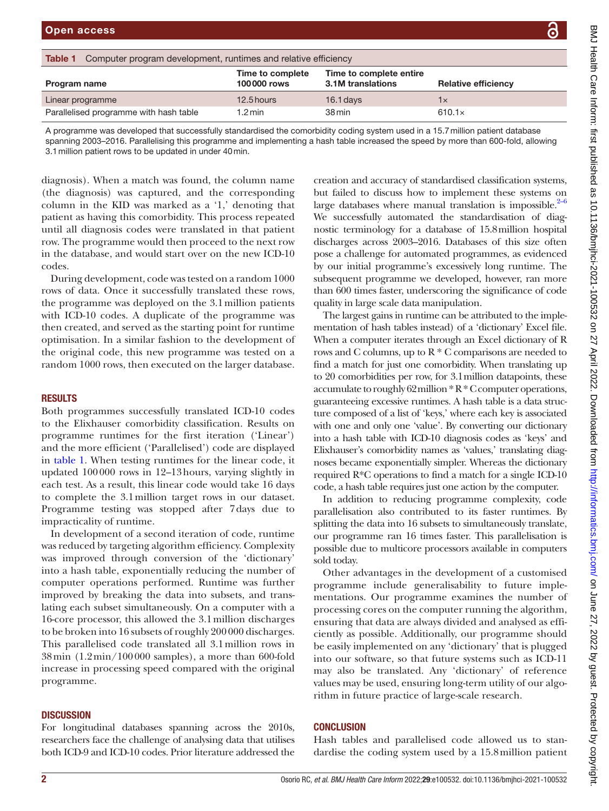<span id="page-1-0"></span>

| <b>Table 1</b><br>Computer program development, runtimes and relative efficiency                                                                                                                                                                                                                                                |                                 |                                              |                            |
|---------------------------------------------------------------------------------------------------------------------------------------------------------------------------------------------------------------------------------------------------------------------------------------------------------------------------------|---------------------------------|----------------------------------------------|----------------------------|
| Program name                                                                                                                                                                                                                                                                                                                    | Time to complete<br>100000 rows | Time to complete entire<br>3.1M translations | <b>Relative efficiency</b> |
| Linear programme                                                                                                                                                                                                                                                                                                                | 12.5 hours                      | $16.1$ days                                  | $1\times$                  |
| Parallelised programme with hash table                                                                                                                                                                                                                                                                                          | $1.2 \,\mathrm{min}$            | 38 min                                       | $610.1\times$              |
| A programme was developed that successfully standardised the comorbidity coding system used in a 15.7 million patient database<br>spanning 2003-2016. Parallelising this programme and implementing a hash table increased the speed by more than 600-fold, allowing<br>3.1 million patient rows to be updated in under 40 min. |                                 |                                              |                            |

diagnosis). When a match was found, the column name (the diagnosis) was captured, and the corresponding column in the KID was marked as a '1,' denoting that patient as having this comorbidity. This process repeated until all diagnosis codes were translated in that patient row. The programme would then proceed to the next row in the database, and would start over on the new ICD-10 codes.

During development, code was tested on a random 1000 rows of data. Once it successfully translated these rows, the programme was deployed on the 3.1million patients with ICD-10 codes. A duplicate of the programme was then created, and served as the starting point for runtime optimisation. In a similar fashion to the development of the original code, this new programme was tested on a random 1000 rows, then executed on the larger database.

# RESULTS

Both programmes successfully translated ICD-10 codes to the Elixhauser comorbidity classification. Results on programme runtimes for the first iteration ('Linear') and the more efficient ('Parallelised') code are displayed in [table](#page-1-0) 1. When testing runtimes for the linear code, it updated 100000 rows in 12–13hours, varying slightly in each test. As a result, this linear code would take 16 days to complete the 3.1million target rows in our dataset. Programme testing was stopped after 7days due to impracticality of runtime.

In development of a second iteration of code, runtime was reduced by targeting algorithm efficiency. Complexity was improved through conversion of the 'dictionary' into a hash table, exponentially reducing the number of computer operations performed. Runtime was further improved by breaking the data into subsets, and translating each subset simultaneously. On a computer with a 16-core processor, this allowed the 3.1million discharges to be broken into 16 subsets of roughly 200000 discharges. This parallelised code translated all 3.1million rows in 38min (1.2min/100000 samples), a more than 600-fold increase in processing speed compared with the original programme.

# **DISCUSSION**

For longitudinal databases spanning across the 2010s, researchers face the challenge of analysing data that utilises both ICD-9 and ICD-10 codes. Prior literature addressed the creation and accuracy of standardised classification systems, but failed to discuss how to implement these systems on large databases where manual translation is impossible. $2-6$ We successfully automated the standardisation of diagnostic terminology for a database of 15.8million hospital discharges across 2003–2016. Databases of this size often pose a challenge for automated programmes, as evidenced by our initial programme's excessively long runtime. The subsequent programme we developed, however, ran more than 600 times faster, underscoring the significance of code quality in large scale data manipulation.

The largest gains in runtime can be attributed to the implementation of hash tables instead) of a 'dictionary' Excel file. When a computer iterates through an Excel dictionary of R rows and C columns, up to R \* C comparisons are needed to find a match for just one comorbidity. When translating up to 20 comorbidities per row, for 3.1million datapoints, these accumulate to roughly 62million \* R \* C computer operations, guaranteeing excessive runtimes. A hash table is a data structure composed of a list of 'keys,' where each key is associated with one and only one 'value'. By converting our dictionary into a hash table with ICD-10 diagnosis codes as 'keys' and Elixhauser's comorbidity names as 'values,' translating diagnoses became exponentially simpler. Whereas the dictionary required R\*C operations to find a match for a single ICD-10 code, a hash table requires just one action by the computer.

In addition to reducing programme complexity, code parallelisation also contributed to its faster runtimes. By splitting the data into 16 subsets to simultaneously translate, our programme ran 16 times faster. This parallelisation is possible due to multicore processors available in computers sold today.

Other advantages in the development of a customised programme include generalisability to future implementations. Our programme examines the number of processing cores on the computer running the algorithm, ensuring that data are always divided and analysed as efficiently as possible. Additionally, our programme should be easily implemented on any 'dictionary' that is plugged into our software, so that future systems such as ICD-11 may also be translated. Any 'dictionary' of reference values may be used, ensuring long-term utility of our algorithm in future practice of large-scale research.

# **CONCLUSION**

Hash tables and parallelised code allowed us to standardise the coding system used by a 15.8million patient